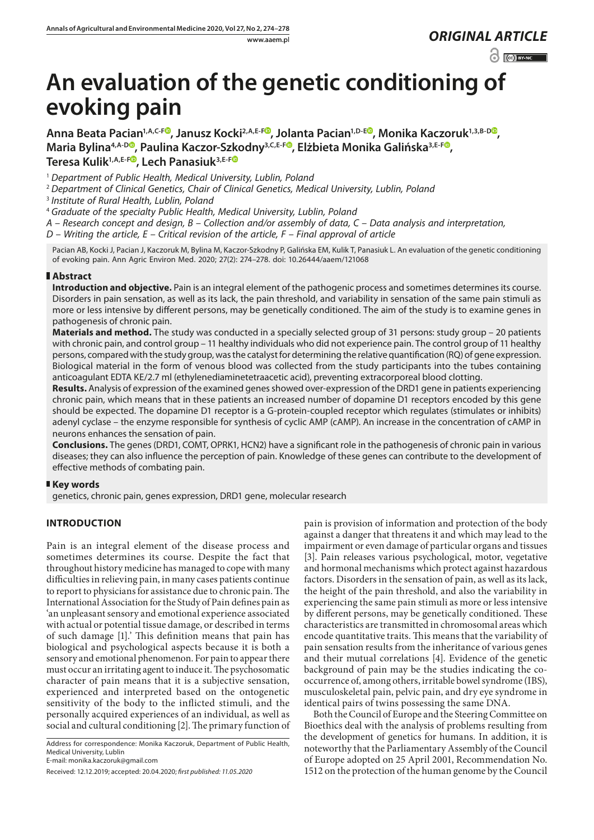www.aaem.pl *ORIGINAL [ARTICLE](https://creativecommons.org/licenses/by-nc/3.0/pl/deed.en)* 

 $\odot$   $\odot$  BY-NC

# **An evaluation of the genetic conditioning of evoking pain**

**Anna Beata Pacian1,A,C-[F](https://orcid.org/0000-0002-1371-4008) , Janusz Kocki2,A,E-F [,](https://orcid.org/0000-0002-9541-6353) Jolanta Pacian1,D-[E](https://orcid.org/0000-0003-0687-9100) , Monika Kaczoruk1,3,B-D [,](https://orcid.org/0000-0002-2436-5747) Maria Bylina4,A-D [,](https://orcid.org/0000-0002-5485-8171) Paulina Kaczor-Szkodny3,C,E-F [,](https://orcid.org/0000-0002-0196-2549) Elżbieta Monika Galińska3,E-F [,](https://orcid.org/0000-0002-0519-0144)**  Teresa Kulik<sup>1, A, E-F<sup>®</sup>, Lech Panasiuk<sup>3, E-F®</sup></sup>

<sup>1</sup> *Department of Public Health, Medical University, Lublin, Poland*

<sup>2</sup> *Department of Clinical Genetics, Chair of Clinical Genetics, Medical University, Lublin, Poland*

<sup>3</sup> *Institute of Rural Health, Lublin, Poland*

<sup>4</sup> *Graduate of the specialty Public Health, Medical University, Lublin, Poland*

*A – Research concept and design, B – Collection and/or assembly of data, C – Data analysis and interpretation,* 

*D – Writing the article, E – Critical revision of the article, F – Final approval of article*

Pacian AB, Kocki J, Pacian J, Kaczoruk M, Bylina M, Kaczor-Szkodny P, Galińska EM, Kulik T, Panasiuk L. An evaluation of the genetic conditioning of evoking pain. Ann Agric Environ Med. 2020; 27(2): 274–278. doi: 10.26444/aaem/121068

## **Abstract**

**Introduction and objective.** Pain is an integral element of the pathogenic process and sometimes determines its course. Disorders in pain sensation, as well as its lack, the pain threshold, and variability in sensation of the same pain stimuli as more or less intensive by different persons, may be genetically conditioned. The aim of the study is to examine genes in pathogenesis of chronic pain.

**Materials and method.** The study was conducted in a specially selected group of 31 persons: study group – 20 patients with chronic pain, and control group – 11 healthy individuals who did not experience pain. The control group of 11 healthy persons, compared with the study group, was the catalyst for determining the relative quantification (RQ) of gene expression. Biological material in the form of venous blood was collected from the study participants into the tubes containing anticoagulant EDTA KE/2.7 ml (ethylenediaminetetraacetic acid), preventing extracorporeal blood clotting.

**Results.** Analysis of expression of the examined genes showed over-expression of the DRD1 gene in patients experiencing chronic pain, which means that in these patients an increased number of dopamine D1 receptors encoded by this gene should be expected. The dopamine D1 receptor is a G-protein-coupled receptor which regulates (stimulates or inhibits) adenyl cyclase – the enzyme responsible for synthesis of cyclic AMP (cAMP). An increase in the concentration of cAMP in neurons enhances the sensation of pain.

**Conclusions.** The genes (DRD1, COMT, OPRK1, HCN2) have a significant role in the pathogenesis of chronic pain in various diseases; they can also influence the perception of pain. Knowledge of these genes can contribute to the development of effective methods of combating pain.

#### **Key words**

genetics, chronic pain, genes expression, DRD1 gene, molecular research

# **INTRODUCTION**

Pain is an integral element of the disease process and sometimes determines its course. Despite the fact that throughout history medicine has managed to cope with many difficulties in relieving pain, in many cases patients continue to report to physicians for assistance due to chronic pain. The International Association for the Study of Pain defines pain as 'an unpleasant sensory and emotional experience associated with actual or potential tissue damage, or described in terms of such damage [1].' This definition means that pain has biological and psychological aspects because it is both a sensory and emotional phenomenon. For pain to appear there must occur an irritating agent to induce it. The psychosomatic character of pain means that it is a subjective sensation, experienced and interpreted based on the ontogenetic sensitivity of the body to the inflicted stimuli, and the personally acquired experiences of an individual, as well as social and cultural conditioning [2]. The primary function of

Address for correspondence: Monika Kaczoruk, Department of Public Health, Medical University, Lublin

E-mail: monika.kaczoruk@gmail.com

Received: 12.12.2019; accepted: 20.04.2020; *first published: 11.05.2020*

pain is provision of information and protection of the body against a danger that threatens it and which may lead to the impairment or even damage of particular organs and tissues [3]. Pain releases various psychological, motor, vegetative and hormonal mechanisms which protect against hazardous factors. Disorders in the sensation of pain, as well as its lack, the height of the pain threshold, and also the variability in experiencing the same pain stimuli as more or less intensive by different persons, may be genetically conditioned. These characteristics are transmitted in chromosomal areas which encode quantitative traits. This means that the variability of pain sensation results from the inheritance of various genes and their mutual correlations [4]. Evidence of the genetic background of pain may be the studies indicating the cooccurrence of, among others, irritable bowel syndrome (IBS), musculoskeletal pain, pelvic pain, and dry eye syndrome in identical pairs of twins possessing the same DNA.

Both the Council of Europe and the Steering Committee on Bioethics deal with the analysis of problems resulting from the development of genetics for humans. In addition, it is noteworthy that the Parliamentary Assembly of the Council of Europe adopted on 25 April 2001, Recommendation No. 1512 on the protection of the human genome by the Council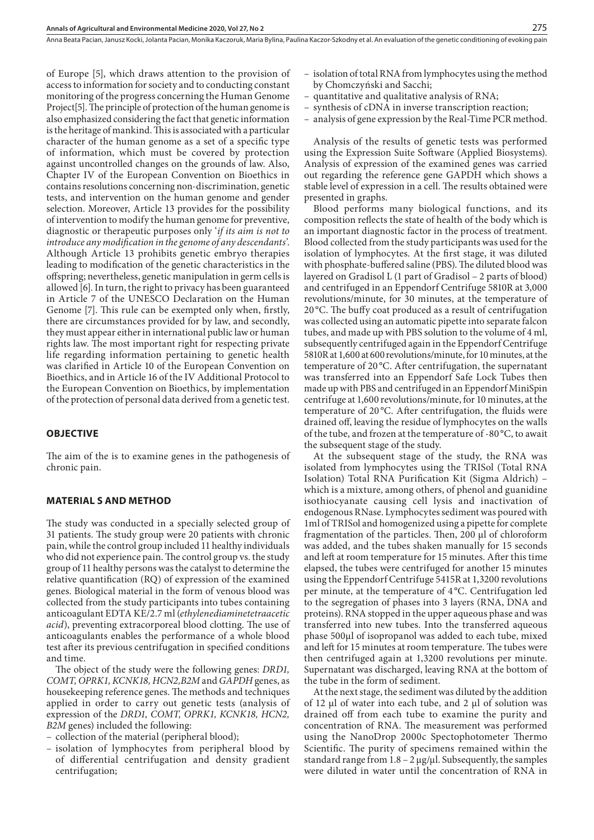Anna Beata Pacian, Janusz Kocki, Jolanta Pacian, Monika Kaczoruk, Maria Bylina, Paulina Kaczor-Szkodny et al. An evaluation of the genetic conditioning of evoking pain

of Europe [5], which draws attention to the provision of access to information for society and to conducting constant monitoring of the progress concerning the Human Genome Project[5]. The principle of protection of the human genome is also emphasized considering the fact that genetic information is the heritage of mankind. This is associated with a particular character of the human genome as a set of a specific type of information, which must be covered by protection against uncontrolled changes on the grounds of law. Also, Chapter IV of the European Convention on Bioethics in contains resolutions concerning non-discrimination, genetic tests, and intervention on the human genome and gender selection. Moreover, Article 13 provides for the possibility of intervention to modify the human genome for preventive, diagnostic or therapeutic purposes only '*if its aim is not to introduce any modification in the genome of any descendants'*. Although Article 13 prohibits genetic embryo therapies leading to modification of the genetic characteristics in the offspring; nevertheless, genetic manipulation in germ cells is allowed [6]. In turn, the right to privacy has been guaranteed in Article 7 of the UNESCO Declaration on the Human Genome [7]. This rule can be exempted only when, firstly, there are circumstances provided for by law, and secondly, they must appear either in international public law or human rights law. The most important right for respecting private life regarding information pertaining to genetic health was clarified in Article 10 of the European Convention on Bioethics, and in Article 16 of the IV Additional Protocol to the European Convention on Bioethics, by implementation of the protection of personal data derived from a genetic test.

#### **OBJECTIVE**

The aim of the is to examine genes in the pathogenesis of chronic pain.

#### **MATERIAL S AND METHOD**

The study was conducted in a specially selected group of 31 patients. The study group were 20 patients with chronic pain, while the control group included 11 healthy individuals who did not experience pain. The control group vs. the study group of 11 healthy persons was the catalyst to determine the relative quantification (RQ) of expression of the examined genes. Biological material in the form of venous blood was collected from the study participants into tubes containing anticoagulant EDTA KE/2.7 ml (*ethylenediaminetetraacetic acid*), preventing extracorporeal blood clotting. The use of anticoagulants enables the performance of a whole blood test after its previous centrifugation in specified conditions and time.

The object of the study were the following genes: *DRD1, COMT, OPRK1, KCNK18, HCN2,B2M* and *GAPDH* genes, as housekeeping reference genes. The methods and techniques applied in order to carry out genetic tests (analysis of expression of the *DRD1, COMT, OPRK1, KCNK18, HCN2, B2M* genes) included the following:

– collection of the material (peripheral blood);

– isolation of lymphocytes from peripheral blood by of differential centrifugation and density gradient centrifugation;

- isolation of total RNA from lymphocytes using the method by Chomczyński and Sacchi;
- quantitative and qualitative analysis of RNA;
- synthesis of cDNA in inverse transcription reaction;
- analysis of gene expression by the Real-Time PCR method.

Analysis of the results of genetic tests was performed using the Expression Suite Software (Applied Biosystems). Analysis of expression of the examined genes was carried out regarding the reference gene GAPDH which shows a stable level of expression in a cell. The results obtained were presented in graphs.

Blood performs many biological functions, and its composition reflects the state of health of the body which is an important diagnostic factor in the process of treatment. Blood collected from the study participants was used for the isolation of lymphocytes. At the first stage, it was diluted with phosphate-buffered saline (PBS). The diluted blood was layered on Gradisol L (1 part of Gradisol – 2 parts of blood) and centrifuged in an Eppendorf Centrifuge 5810R at 3,000 revolutions/minute, for 30 minutes, at the temperature of 20 °C. The buffy coat produced as a result of centrifugation was collected using an automatic pipette into separate falcon tubes, and made up with PBS solution to the volume of 4 ml, subsequently centrifuged again in the Eppendorf Centrifuge 5810R at 1,600 at 600 revolutions/minute, for 10 minutes, at the temperature of 20 °C. After centrifugation, the supernatant was transferred into an Eppendorf Safe Lock Tubes then made up with PBS and centrifuged in an Eppendorf MiniSpin centrifuge at 1,600 revolutions/minute, for 10 minutes, at the temperature of 20 °C. After centrifugation, the fluids were drained off, leaving the residue of lymphocytes on the walls of the tube, and frozen at the temperature of -80 °C, to await the subsequent stage of the study.

At the subsequent stage of the study, the RNA was isolated from lymphocytes using the TRISol (Total RNA Isolation) Total RNA Purification Kit (Sigma Aldrich) – which is a mixture, among others, of phenol and guanidine isothiocyanate causing cell lysis and inactivation of endogenous RNase. Lymphocytes sediment was poured with 1ml of TRISol and homogenized using a pipette for complete fragmentation of the particles. Then, 200 μl of chloroform was added, and the tubes shaken manually for 15 seconds and left at room temperature for 15 minutes. After this time elapsed, the tubes were centrifuged for another 15 minutes using the Eppendorf Centrifuge 5415R at 1,3200 revolutions per minute, at the temperature of 4 °C. Centrifugation led to the segregation of phases into 3 layers (RNA, DNA and proteins). RNA stopped in the upper aqueous phase and was transferred into new tubes. Into the transferred aqueous phase 500μl of isopropanol was added to each tube, mixed and left for 15 minutes at room temperature. The tubes were then centrifuged again at 1,3200 revolutions per minute. Supernatant was discharged, leaving RNA at the bottom of the tube in the form of sediment.

At the next stage, the sediment was diluted by the addition of 12 μl of water into each tube, and 2 μl of solution was drained off from each tube to examine the purity and concentration of RNA. The measurement was performed using the NanoDrop 2000c Spectophotometer Thermo Scientific. The purity of specimens remained within the standard range from  $1.8 - 2 \mu g / \mu l$ . Subsequently, the samples were diluted in water until the concentration of RNA in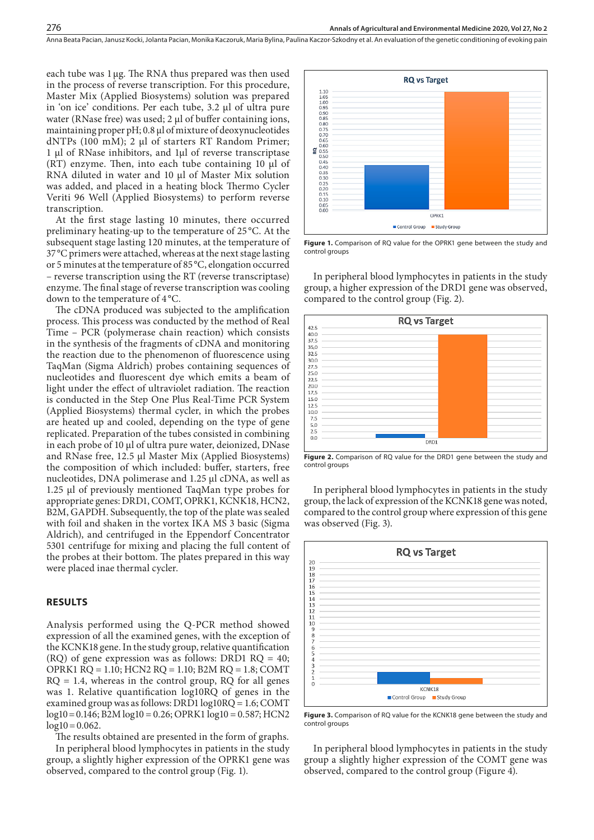each tube was 1μg. The RNA thus prepared was then used in the process of reverse transcription. For this procedure, Master Mix (Applied Biosystems) solution was prepared in 'on ice' conditions. Per each tube, 3.2 μl of ultra pure water (RNase free) was used; 2 μl of buffer containing ions, maintaining proper pH; 0.8 μl of mixture of deoxynucleotides dNTPs (100 mM); 2 μl of starters RT Random Primer; 1 μl of RNase inhibitors, and 1μl of reverse transcriptase (RT) enzyme. Then, into each tube containing 10 μl of RNA diluted in water and 10 μl of Master Mix solution was added, and placed in a heating block Thermo Cycler Veriti 96 Well (Applied Biosystems) to perform reverse transcription.

At the first stage lasting 10 minutes, there occurred preliminary heating-up to the temperature of 25 °C. At the subsequent stage lasting 120 minutes, at the temperature of 37 °C primers were attached, whereas at the next stage lasting or 5 minutes at the temperature of 85 °C, elongation occurred – reverse transcription using the RT (reverse transcriptase) enzyme. The final stage of reverse transcription was cooling down to the temperature of 4 °C.

The cDNA produced was subjected to the amplification process. This process was conducted by the method of Real Time – PCR (polymerase chain reaction) which consists in the synthesis of the fragments of cDNA and monitoring the reaction due to the phenomenon of fluorescence using TaqMan (Sigma Aldrich) probes containing sequences of nucleotides and fluorescent dye which emits a beam of light under the effect of ultraviolet radiation. The reaction is conducted in the Step One Plus Real-Time PCR System (Applied Biosystems) thermal cycler, in which the probes are heated up and cooled, depending on the type of gene replicated. Preparation of the tubes consisted in combining in each probe of 10 μl of ultra pure water, deionized, DNase and RNase free, 12.5 μl Master Mix (Applied Biosystems) the composition of which included: buffer, starters, free nucleotides, DNA polimerase and 1.25 μl cDNA, as well as 1.25 μl of previously mentioned TaqMan type probes for appropriate genes: DRD1, COMT, OPRK1, KCNK18, HCN2, B2M, GAPDH. Subsequently, the top of the plate was sealed with foil and shaken in the vortex IKA MS 3 basic (Sigma Aldrich), and centrifuged in the Eppendorf Concentrator 5301 centrifuge for mixing and placing the full content of the probes at their bottom. The plates prepared in this way were placed inae thermal cycler.

#### **RESULTS**

Analysis performed using the Q-PCR method showed expression of all the examined genes, with the exception of the KCNK18 gene. In the study group, relative quantification (RQ) of gene expression was as follows: DRD1  $RQ = 40$ ; OPRK1 RQ = 1.10; HCN2 RQ = 1.10; B2M RQ = 1.8; COMT  $RQ = 1.4$ , whereas in the control group,  $RQ$  for all genes was 1. Relative quantification log10RQ of genes in the examined group was as follows: DRD1 log10RQ = 1.6; COMT  $log10 = 0.146$ ;  $B2M log10 = 0.26$ ; OPRK1  $log10 = 0.587$ ; HCN2  $log10 = 0.062$ .

The results obtained are presented in the form of graphs. In peripheral blood lymphocytes in patients in the study group, a slightly higher expression of the OPRK1 gene was observed, compared to the control group (Fig. 1).



Figure 1. Comparison of RQ value for the OPRK1 gene between the study and control groups

In peripheral blood lymphocytes in patients in the study group, a higher expression of the DRD1 gene was observed, compared to the control group (Fig. 2).





In peripheral blood lymphocytes in patients in the study group, the lack of expression of the KCNK18 gene was noted, compared to the control group where expression of this gene was observed (Fig. 3).



**Figure 3.** Comparison of RQ value for the KCNK18 gene between the study and control groups

In peripheral blood lymphocytes in patients in the study group a slightly higher expression of the COMT gene was observed, compared to the control group (Figure 4).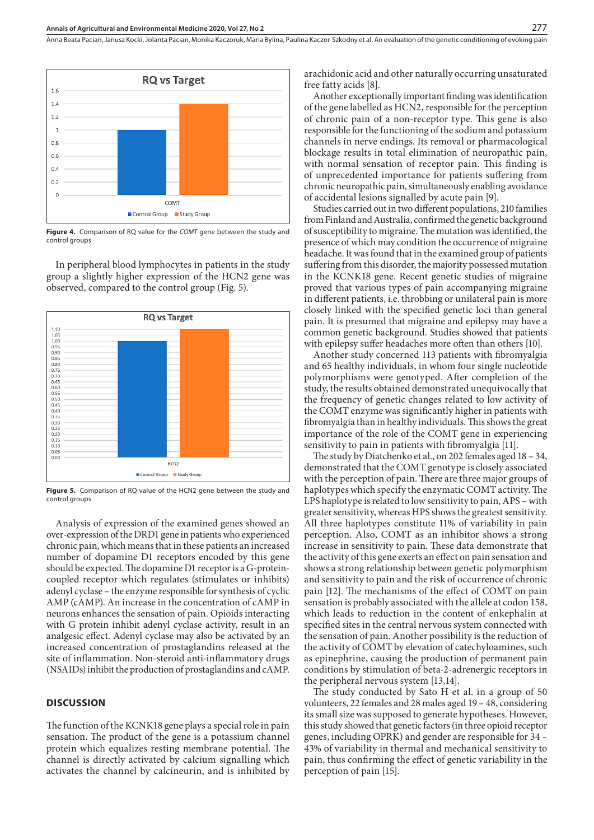Anna Beata Pacian, Janusz Kocki, Jolanta Pacian, Monika Kaczoruk, Maria Bylina, Paulina Kaczor-Szkodny et al. An evaluation of the genetic conditioning of evoking pain



**Figure 4.** Comparison of RQ value for the *COMT* gene between the study and control groups

In peripheral blood lymphocytes in patients in the study group a slightly higher expression of the HCN2 gene was observed, compared to the control group (Fig. 5).



**Figure 5.** Comparison of RQ value of the HCN2 gene between the study and control groups

Analysis of expression of the examined genes showed an over-expression of the DRD1 gene in patients who experienced chronic pain, which means that in these patients an increased number of dopamine D1 receptors encoded by this gene should be expected. The dopamine D1 receptor is a G-proteincoupled receptor which regulates (stimulates or inhibits) adenyl cyclase – the enzyme responsible for synthesis of cyclic AMP (cAMP). An increase in the concentration of cAMP in neurons enhances the sensation of pain. Opioids interacting with G protein inhibit adenyl cyclase activity, result in an analgesic effect. Adenyl cyclase may also be activated by an increased concentration of prostaglandins released at the site of inflammation. Non-steroid anti-inflammatory drugs (NSAIDs) inhibit the production of prostaglandins and cAMP.

#### **DISCUSSION**

The function of the KCNK18 gene plays a special role in pain sensation. The product of the gene is a potassium channel protein which equalizes resting membrane potential. The channel is directly activated by calcium signalling which activates the channel by calcineurin, and is inhibited by arachidonic acid and other naturally occurring unsaturated free fatty acids [8].

Another exceptionally important finding was identification of the gene labelled as HCN2, responsible for the perception of chronic pain of a non-receptor type. This gene is also responsible for the functioning of the sodium and potassium channels in nerve endings. Its removal or pharmacological blockage results in total elimination of neuropathic pain, with normal sensation of receptor pain. This finding is of unprecedented importance for patients suffering from chronic neuropathic pain, simultaneously enabling avoidance of accidental lesions signalled by acute pain [9].

Studies carried out in two different populations, 210 families from Finland and Australia, confirmed the genetic background of susceptibility to migraine. The mutation was identified, the presence of which may condition the occurrence of migraine headache. It was found that in the examined group of patients suffering from this disorder, the majority possessed mutation in the KCNK18 gene. Recent genetic studies of migraine proved that various types of pain accompanying migraine in different patients, i.e. throbbing or unilateral pain is more closely linked with the specified genetic loci than general pain. It is presumed that migraine and epilepsy may have a common genetic background. Studies showed that patients with epilepsy suffer headaches more often than others [10].

Another study concerned 113 patients with fibromyalgia and 65 healthy individuals, in whom four single nucleotide polymorphisms were genotyped. After completion of the study, the results obtained demonstrated unequivocally that the frequency of genetic changes related to low activity of the COMT enzyme was significantly higher in patients with fibromyalgia than in healthy individuals. This shows the great importance of the role of the COMT gene in experiencing sensitivity to pain in patients with fibromyalgia [11].

The study by Diatchenko et al., on 202 females aged 18 – 34, demonstrated that the COMT genotype is closely associated with the perception of pain. There are three major groups of haplotypes which specify the enzymatic COMT activity. The LPS haplotype is related to low sensitivity to pain, APS – with greater sensitivity, whereas HPS shows the greatest sensitivity. All three haplotypes constitute 11% of variability in pain perception. Also, COMT as an inhibitor shows a strong increase in sensitivity to pain. These data demonstrate that the activity of this gene exerts an effect on pain sensation and shows a strong relationship between genetic polymorphism and sensitivity to pain and the risk of occurrence of chronic pain [12]. The mechanisms of the effect of COMT on pain sensation is probably associated with the allele at codon 158, which leads to reduction in the content of enkephalin at specified sites in the central nervous system connected with the sensation of pain. Another possibility is the reduction of the activity of COMT by elevation of catechyloamines, such as epinephrine, causing the production of permanent pain conditions by stimulation of beta-2-adrenergic receptors in the peripheral nervous system [13,14].

The study conducted by Sato H et al. in a group of 50 volunteers, 22 females and 28 males aged 19 – 48, considering its small size was supposed to generate hypotheses. However, this study showed that genetic factors (in three opioid receptor genes, including OPRK) and gender are responsible for 34 – 43% of variability in thermal and mechanical sensitivity to pain, thus confirming the effect of genetic variability in the perception of pain [15].